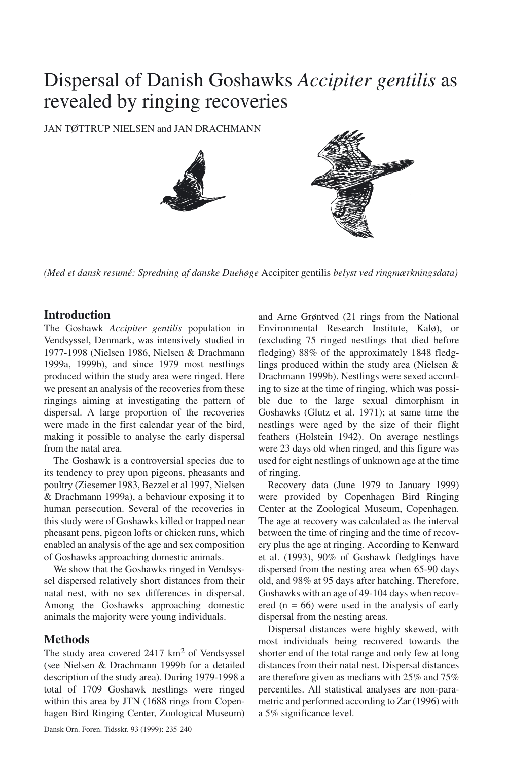# Dispersal of Danish Goshawks *Accipiter gentilis* as revealed by ringing recoveries

JAN TØTTRUP NIELSEN and JAN DRACHMANN



*(Med et dansk resumé: Spredning af danske Duehøge* Accipiter gentilis *belyst ved ringmærkningsdata)*

# **Introduction**

The Goshawk *Accipiter gentilis* population in Vendsyssel, Denmark, was intensively studied in 1977-1998 (Nielsen 1986, Nielsen & Drachmann 1999a, 1999b), and since 1979 most nestlings produced within the study area were ringed. Here we present an analysis of the recoveries from these ringings aiming at investigating the pattern of dispersal. A large proportion of the recoveries were made in the first calendar year of the bird, making it possible to analyse the early dispersal from the natal area.

The Goshawk is a controversial species due to its tendency to prey upon pigeons, pheasants and poultry (Ziesemer 1983, Bezzel et al 1997, Nielsen & Drachmann 1999a), a behaviour exposing it to human persecution. Several of the recoveries in this study were of Goshawks killed or trapped near pheasant pens, pigeon lofts or chicken runs, which enabled an analysis of the age and sex composition of Goshawks approaching domestic animals.

We show that the Goshawks ringed in Vendsyssel dispersed relatively short distances from their natal nest, with no sex differences in dispersal. Among the Goshawks approaching domestic animals the majority were young individuals.

## **Methods**

The study area covered 2417 km<sup>2</sup> of Vendsyssel (see Nielsen & Drachmann 1999b for a detailed description of the study area). During 1979-1998 a total of 1709 Goshawk nestlings were ringed within this area by JTN (1688 rings from Copenhagen Bird Ringing Center, Zoological Museum)

feathers (Holstein 1942). On average nestlings were 23 days old when ringed, and this figure was used for eight nestlings of unknown age at the time of ringing. Recovery data (June 1979 to January 1999) were provided by Copenhagen Bird Ringing Center at the Zoological Museum, Copenhagen. The age at recovery was calculated as the interval between the time of ringing and the time of recovery plus the age at ringing. According to Kenward et al. (1993), 90% of Goshawk fledglings have

dispersed from the nesting area when 65-90 days old, and 98% at 95 days after hatching. Therefore, Goshawks with an age of 49-104 days when recovered  $(n = 66)$  were used in the analysis of early dispersal from the nesting areas.

and Arne Grøntved (21 rings from the National Environmental Research Institute, Kalø), or (excluding 75 ringed nestlings that died before fledging) 88% of the approximately 1848 fledglings produced within the study area (Nielsen & Drachmann 1999b). Nestlings were sexed according to size at the time of ringing, which was possible due to the large sexual dimorphism in Goshawks (Glutz et al. 1971); at same time the nestlings were aged by the size of their flight

Dispersal distances were highly skewed, with most individuals being recovered towards the shorter end of the total range and only few at long distances from their natal nest. Dispersal distances are therefore given as medians with 25% and 75% percentiles. All statistical analyses are non-parametric and performed according to Zar (1996) with a 5% significance level.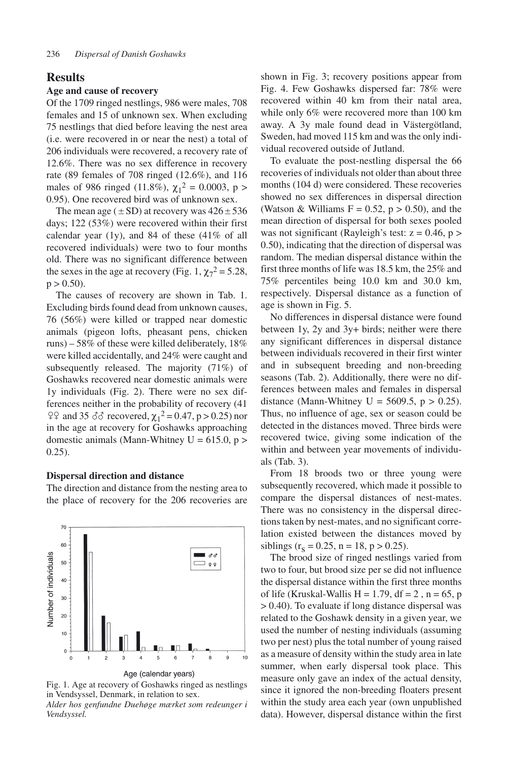## **Results**

## **Age and cause of recovery**

Of the 1709 ringed nestlings, 986 were males, 708 females and 15 of unknown sex. When excluding 75 nestlings that died before leaving the nest area (i.e. were recovered in or near the nest) a total of 206 individuals were recovered, a recovery rate of 12.6%. There was no sex difference in recovery rate (89 females of 708 ringed (12.6%), and 116 males of 986 ringed (11.8%),  $\chi_1^2 = 0.0003$ , p > 0.95). One recovered bird was of unknown sex.

The mean age ( $\pm$ SD) at recovery was  $426\pm536$ days; 122 (53%) were recovered within their first calendar year  $(1y)$ , and 84 of these  $(41\% \text{ of all})$ recovered individuals) were two to four months old. There was no significant difference between the sexes in the age at recovery (Fig. 1,  $\chi_7^2 = 5.28$ ,  $p > 0.50$ ).

The causes of recovery are shown in Tab. 1. Excluding birds found dead from unknown causes, 76 (56%) were killed or trapped near domestic animals (pigeon lofts, pheasant pens, chicken runs) – 58% of these were killed deliberately, 18% were killed accidentally, and 24% were caught and subsequently released. The majority (71%) of Goshawks recovered near domestic animals were 1y individuals (Fig. 2). There were no sex differences neither in the probability of recovery (41  $2$ <sup>2</sup> and 35 *δ*δ recovered,  $\chi_1^2 = 0.47$ , p > 0.25) nor in the age at recovery for Goshawks approaching domestic animals (Mann-Whitney  $U = 615.0$ ,  $p >$ 0.25).

#### **Dispersal direction and distance**

The direction and distance from the nesting area to the place of recovery for the 206 recoveries are



Age (calendar years)

Fig. 1. Age at recovery of Goshawks ringed as nestlings in Vendsyssel, Denmark, in relation to sex. *Alder hos genfundne Duehøge mærket som redeunger i*

*Vendsyssel.* 

shown in Fig. 3; recovery positions appear from Fig. 4. Few Goshawks dispersed far: 78% were recovered within 40 km from their natal area, while only 6% were recovered more than 100 km away. A 3y male found dead in Västergötland, Sweden, had moved 115 km and was the only individual recovered outside of Jutland.

To evaluate the post-nestling dispersal the 66 recoveries of individuals not older than about three months (104 d) were considered. These recoveries showed no sex differences in dispersal direction (Watson & Williams  $F = 0.52$ ,  $p > 0.50$ ), and the mean direction of dispersal for both sexes pooled was not significant (Rayleigh's test:  $z = 0.46$ ,  $p >$ 0.50), indicating that the direction of dispersal was random. The median dispersal distance within the first three months of life was 18.5 km, the 25% and 75% percentiles being 10.0 km and 30.0 km, respectively. Dispersal distance as a function of age is shown in Fig. 5.

No differences in dispersal distance were found between 1y, 2y and 3y+ birds; neither were there any significant differences in dispersal distance between individuals recovered in their first winter and in subsequent breeding and non-breeding seasons (Tab. 2). Additionally, there were no differences between males and females in dispersal distance (Mann-Whitney U = 5609.5,  $p > 0.25$ ). Thus, no influence of age, sex or season could be detected in the distances moved. Three birds were recovered twice, giving some indication of the within and between year movements of individuals (Tab. 3).

From 18 broods two or three young were subsequently recovered, which made it possible to compare the dispersal distances of nest-mates. There was no consistency in the dispersal directions taken by nest-mates, and no significant correlation existed between the distances moved by siblings ( $r_s = 0.25$ , n = 18, p > 0.25).

The brood size of ringed nestlings varied from two to four, but brood size per se did not influence the dispersal distance within the first three months of life (Kruskal-Wallis H = 1.79, df = 2,  $n = 65$ , p > 0.40). To evaluate if long distance dispersal was related to the Goshawk density in a given year, we used the number of nesting individuals (assuming two per nest) plus the total number of young raised as a measure of density within the study area in late summer, when early dispersal took place. This measure only gave an index of the actual density, since it ignored the non-breeding floaters present within the study area each year (own unpublished data). However, dispersal distance within the first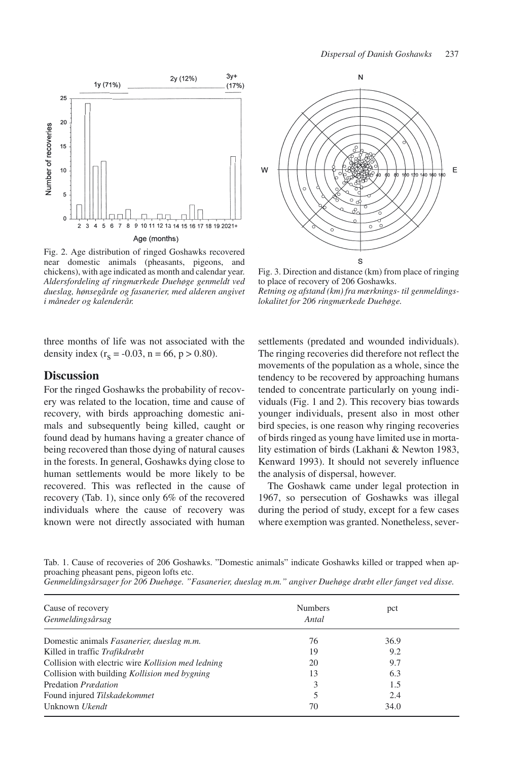

Fig. 2. Age distribution of ringed Goshawks recovered near domestic animals (pheasants, pigeons, and chickens), with age indicated as month and calendar year. *Aldersfordeling af ringmærkede Duehøge genmeldt ved dueslag, hønsegårde og fasanerier, med alderen angivet i måneder og kalenderår.*

three months of life was not associated with the density index  $(r_s = -0.03, n = 66, p > 0.80)$ .

## **Discussion**

For the ringed Goshawks the probability of recovery was related to the location, time and cause of recovery, with birds approaching domestic animals and subsequently being killed, caught or found dead by humans having a greater chance of being recovered than those dying of natural causes in the forests. In general, Goshawks dying close to human settlements would be more likely to be recovered. This was reflected in the cause of recovery (Tab. 1), since only 6% of the recovered individuals where the cause of recovery was known were not directly associated with human



Fig. 3. Direction and distance (km) from place of ringing to place of recovery of 206 Goshawks. *Retning og afstand (km) fra mærknings- til genmeldingslokalitet for 206 ringmærkede Duehøge.*

settlements (predated and wounded individuals). The ringing recoveries did therefore not reflect the movements of the population as a whole, since the tendency to be recovered by approaching humans tended to concentrate particularly on young individuals (Fig. 1 and 2). This recovery bias towards younger individuals, present also in most other bird species, is one reason why ringing recoveries of birds ringed as young have limited use in mortality estimation of birds (Lakhani & Newton 1983, Kenward 1993). It should not severely influence the analysis of dispersal, however.

The Goshawk came under legal protection in 1967, so persecution of Goshawks was illegal during the period of study, except for a few cases where exemption was granted. Nonetheless, sever-

Tab. 1. Cause of recoveries of 206 Goshawks. "Domestic animals" indicate Goshawks killed or trapped when approaching pheasant pens, pigeon lofts etc.



| Cause of recovery<br>Genmeldingsårsag              | <b>Numbers</b><br>Antal | pct  |  |
|----------------------------------------------------|-------------------------|------|--|
|                                                    |                         |      |  |
| Domestic animals Fasanerier, dueslag m.m.          | 76                      | 36.9 |  |
| Killed in traffic Trafikdræbt                      | 19                      | 9.2  |  |
| Collision with electric wire Kollision med ledning | 20                      | 9.7  |  |
| Collision with building Kollision med bygning      | 13                      | 6.3  |  |
| Predation <i>Prædation</i>                         | 3                       | 1.5  |  |
| Found injured Tilskadekommet                       |                         | 2.4  |  |
| Unknown Ukendt                                     | 70                      | 34.0 |  |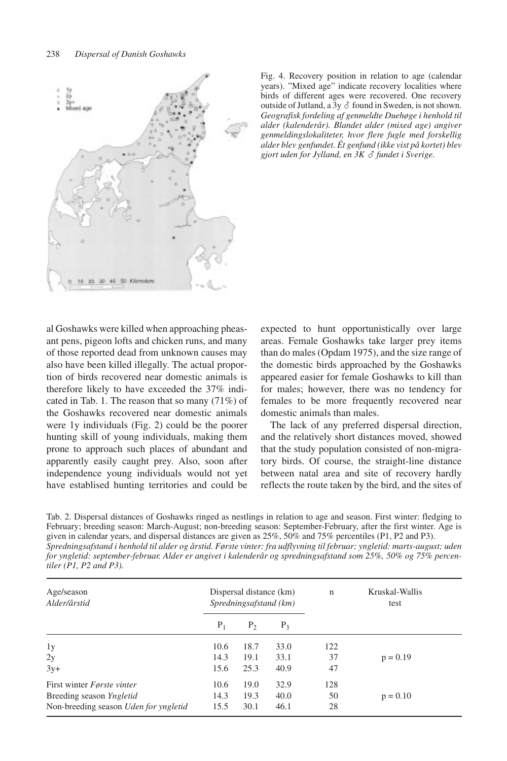

Fig. 4. Recovery position in relation to age (calendar years). "Mixed age" indicate recovery localities where birds of different ages were recovered. One recovery outside of Jutland, a  $\overline{3y} \circ \overline{6}$  found in Sweden, is not shown. *Geografisk fordeling af genmeldte Duehøge i henhold til alder (kalenderår). Blandet alder (mixed age) angiver genmeldingslokaliteter, hvor flere fugle med forskellig alder blev genfundet. Ét genfund (ikke vist på kortet) blev gjort uden for Jylland, en 3K fundet i Sverige.*

al Goshawks were killed when approaching pheasant pens, pigeon lofts and chicken runs, and many of those reported dead from unknown causes may also have been killed illegally. The actual proportion of birds recovered near domestic animals is therefore likely to have exceeded the 37% indicated in Tab. 1. The reason that so many (71%) of the Goshawks recovered near domestic animals were 1y individuals (Fig. 2) could be the poorer hunting skill of young individuals, making them prone to approach such places of abundant and apparently easily caught prey. Also, soon after independence young individuals would not yet have establised hunting territories and could be

expected to hunt opportunistically over large areas. Female Goshawks take larger prey items than do males (Opdam 1975), and the size range of the domestic birds approached by the Goshawks appeared easier for female Goshawks to kill than for males; however, there was no tendency for females to be more frequently recovered near domestic animals than males.

The lack of any preferred dispersal direction, and the relatively short distances moved, showed that the study population consisted of non-migratory birds. Of course, the straight-line distance between natal area and site of recovery hardly reflects the route taken by the bird, and the sites of

Tab. 2. Dispersal distances of Goshawks ringed as nestlings in relation to age and season. First winter: fledging to February; breeding season: March-August; non-breeding season: September-February, after the first winter. Age is given in calendar years, and dispersal distances are given as 25%, 50% and 75% percentiles (P1, P2 and P3). *Spredningsafstand i henhold til alder og årstid. Første vinter: fra udflyvning til februar; yngletid: marts-august; uden for yngletid: september-februar. Alder er angivet i kalenderår og spredningsafstand som 25%, 50% og 75% percentiler (P1, P2 and P3).*

| Age/season<br>Alder/årstid            | Dispersal distance (km)<br>Spredningsafstand (km) |                |       | $\mathbf n$ | Kruskal-Wallis<br>test |
|---------------------------------------|---------------------------------------------------|----------------|-------|-------------|------------------------|
|                                       | $P_1$                                             | P <sub>2</sub> | $P_3$ |             |                        |
| 1y                                    | 10.6                                              | 18.7           | 33.0  | 122         |                        |
| 2y                                    | 14.3                                              | 19.1           | 33.1  | 37          | $p = 0.19$             |
| $3y+$                                 | 15.6                                              | 25.3           | 40.9  | 47          |                        |
| First winter <i>Første vinter</i>     | 10.6                                              | 19.0           | 32.9  | 128         |                        |
| Breeding season Yngletid              | 14.3                                              | 19.3           | 40.0  | 50          | $p = 0.10$             |
| Non-breeding season Uden for yngletid | 15.5                                              | 30.1           | 46.1  | 28          |                        |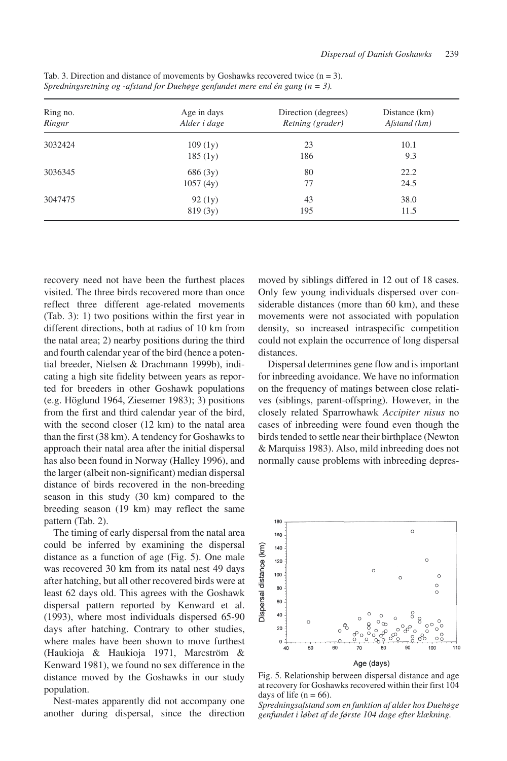| Ring no.<br>Ringnr | Age in days<br>Alder i dage | Direction (degrees)<br>Retning (grader) | Distance (km)<br>Afstand (km) |  |
|--------------------|-----------------------------|-----------------------------------------|-------------------------------|--|
| 3032424            | 109(1y)                     | 23                                      | 10.1                          |  |
|                    | 185(1y)                     | 186                                     | 9.3                           |  |
| 3036345            | 686 (3y)                    | 80                                      | 22.2                          |  |
|                    | 1057(4y)                    | 77                                      | 24.5                          |  |
| 3047475            | 92(1y)                      | 43                                      | 38.0                          |  |
|                    | 819(3y)                     | 195                                     | 11.5                          |  |

Tab. 3. Direction and distance of movements by Goshawks recovered twice  $(n = 3)$ . *Spredningsretning og -afstand for Duehøge genfundet mere end én gang (n = 3).*

recovery need not have been the furthest places visited. The three birds recovered more than once reflect three different age-related movements (Tab. 3): 1) two positions within the first year in different directions, both at radius of 10 km from the natal area; 2) nearby positions during the third and fourth calendar year of the bird (hence a potential breeder, Nielsen & Drachmann 1999b), indicating a high site fidelity between years as reported for breeders in other Goshawk populations (e.g. Höglund 1964, Ziesemer 1983); 3) positions from the first and third calendar year of the bird, with the second closer (12 km) to the natal area than the first (38 km). A tendency for Goshawks to approach their natal area after the initial dispersal has also been found in Norway (Halley 1996), and the larger (albeit non-significant) median dispersal distance of birds recovered in the non-breeding season in this study (30 km) compared to the breeding season (19 km) may reflect the same pattern (Tab. 2).

The timing of early dispersal from the natal area could be inferred by examining the dispersal distance as a function of age (Fig. 5). One male was recovered 30 km from its natal nest 49 days after hatching, but all other recovered birds were at least 62 days old. This agrees with the Goshawk dispersal pattern reported by Kenward et al. (1993), where most individuals dispersed 65-90 days after hatching. Contrary to other studies, where males have been shown to move furthest (Haukioja & Haukioja 1971, Marcström & Kenward 1981), we found no sex difference in the distance moved by the Goshawks in our study population.

Nest-mates apparently did not accompany one another during dispersal, since the direction moved by siblings differed in 12 out of 18 cases. Only few young individuals dispersed over considerable distances (more than 60 km), and these movements were not associated with population density, so increased intraspecific competition could not explain the occurrence of long dispersal distances.

Dispersal determines gene flow and is important for inbreeding avoidance. We have no information on the frequency of matings between close relatives (siblings, parent-offspring). However, in the closely related Sparrowhawk *Accipiter nisus* no cases of inbreeding were found even though the birds tended to settle near their birthplace (Newton & Marquiss 1983). Also, mild inbreeding does not normally cause problems with inbreeding depres-



Fig. 5. Relationship between dispersal distance and age at recovery for Goshawks recovered within their first 104 days of life  $(n = 66)$ .

*Spredningsafstand som en funktion af alder hos Duehøge genfundet i løbet af de første 104 dage efter klækning.*